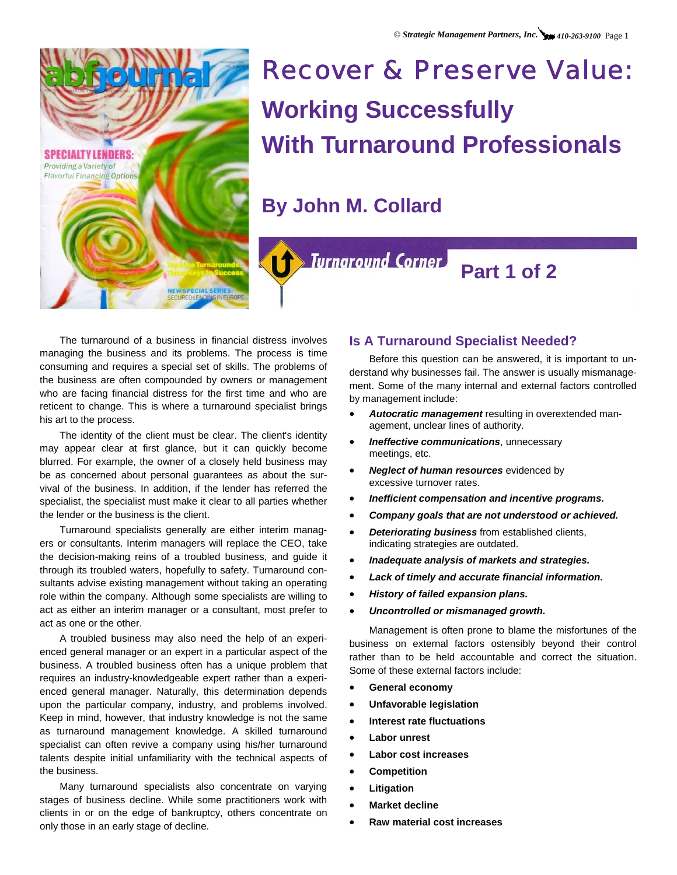

# Recover & Preserve Value: **Working Successfully With Turnaround Professionals**

**By John M. Collard** 



# **Part 1 of 2**

The turnaround of a business in financial distress involves managing the business and its problems. The process is time consuming and requires a special set of skills. The problems of the business are often compounded by owners or management who are facing financial distress for the first time and who are reticent to change. This is where a turnaround specialist brings his art to the process.

The identity of the client must be clear. The client's identity may appear clear at first glance, but it can quickly become blurred. For example, the owner of a closely held business may be as concerned about personal guarantees as about the survival of the business. In addition, if the lender has referred the specialist, the specialist must make it clear to all parties whether the lender or the business is the client.

Turnaround specialists generally are either interim managers or consultants. Interim managers will replace the CEO, take the decision-making reins of a troubled business, and guide it through its troubled waters, hopefully to safety. Turnaround consultants advise existing management without taking an operating role within the company. Although some specialists are willing to act as either an interim manager or a consultant, most prefer to act as one or the other.

A troubled business may also need the help of an experienced general manager or an expert in a particular aspect of the business. A troubled business often has a unique problem that requires an industry-knowledgeable expert rather than a experienced general manager. Naturally, this determination depends upon the particular company, industry, and problems involved. Keep in mind, however, that industry knowledge is not the same as turnaround management knowledge. A skilled turnaround specialist can often revive a company using his/her turnaround talents despite initial unfamiliarity with the technical aspects of the business.

Many turnaround specialists also concentrate on varying stages of business decline. While some practitioners work with clients in or on the edge of bankruptcy, others concentrate on only those in an early stage of decline.

# **Is A Turnaround Specialist Needed?**

Before this question can be answered, it is important to understand why businesses fail. The answer is usually mismanagement. Some of the many internal and external factors controlled by management include:

- *Autocratic management* resulting in overextended management, unclear lines of authority.
- *Ineffective communications*, unnecessary meetings, etc.
- *Neglect of human resources* evidenced by excessive turnover rates.
- *Inefficient compensation and incentive programs.*
- *Company goals that are not understood or achieved.*
- *Deteriorating business* from established clients, indicating strategies are outdated.
- *Inadequate analysis of markets and strategies.*
- *Lack of timely and accurate financial information.*
- *History of failed expansion plans.*
- *Uncontrolled or mismanaged growth.*

Management is often prone to blame the misfortunes of the business on external factors ostensibly beyond their control rather than to be held accountable and correct the situation. Some of these external factors include:

- **General economy**
- **Unfavorable legislation**
- **Interest rate fluctuations**
- **Labor unrest**
- **Labor cost increases**
- **Competition**
- **Litigation**
- **Market decline**
- **Raw material cost increases**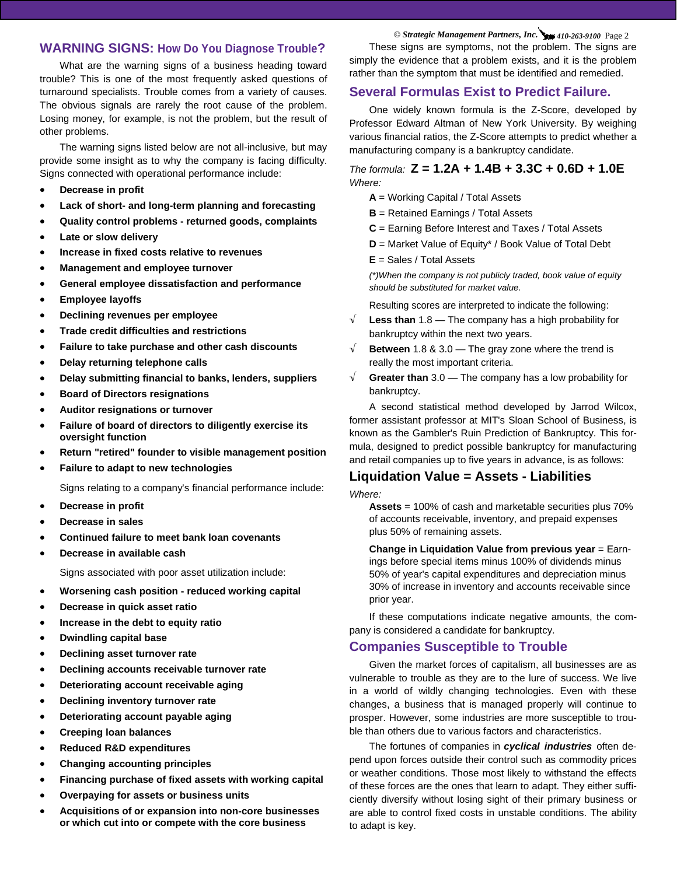# **WARNING SIGNS: How Do You Diagnose Trouble?**

What are the warning signs of a business heading toward trouble? This is one of the most frequently asked questions of turnaround specialists. Trouble comes from a variety of causes. The obvious signals are rarely the root cause of the problem. Losing money, for example, is not the problem, but the result of other problems.

The warning signs listed below are not all-inclusive, but may provide some insight as to why the company is facing difficulty. Signs connected with operational performance include:

- **Decrease in profit**
- **Lack of short- and long-term planning and forecasting**
- **Quality control problems returned goods, complaints**
- **Late or slow delivery**
- **Increase in fixed costs relative to revenues**
- **Management and employee turnover**
- **General employee dissatisfaction and performance**
- **Employee layoffs**
- **Declining revenues per employee**
- **Trade credit difficulties and restrictions**
- **Failure to take purchase and other cash discounts**
- **Delay returning telephone calls**
- **Delay submitting financial to banks, lenders, suppliers**
- **Board of Directors resignations**
- **Auditor resignations or turnover**
- **Failure of board of directors to diligently exercise its oversight function**
- **Return "retired" founder to visible management position**
- **Failure to adapt to new technologies**

Signs relating to a company's financial performance include:

- **Decrease in profit**
- **Decrease in sales**
- **Continued failure to meet bank loan covenants**
- **Decrease in available cash**

Signs associated with poor asset utilization include:

- **Worsening cash position reduced working capital**
- **Decrease in quick asset ratio**
- **Increase in the debt to equity ratio**
- **Dwindling capital base**
- **Declining asset turnover rate**
- **Declining accounts receivable turnover rate**
- **Deteriorating account receivable aging**
- **Declining inventory turnover rate**
- **Deteriorating account payable aging**
- **Creeping loan balances**
- **Reduced R&D expenditures**
- **Changing accounting principles**
- **Financing purchase of fixed assets with working capital**
- **Overpaying for assets or business units**
- **Acquisitions of or expansion into non-core businesses or which cut into or compete with the core business**

*© Strategic Management Partners, Inc. 410-263-9100* Page 2

These signs are symptoms, not the problem. The signs are simply the evidence that a problem exists, and it is the problem rather than the symptom that must be identified and remedied.

# **Several Formulas Exist to Predict Failure.**

One widely known formula is the Z-Score, developed by Professor Edward Altman of New York University. By weighing various financial ratios, the Z-Score attempts to predict whether a manufacturing company is a bankruptcy candidate.

## *The formula:* **Z = 1.2A + 1.4B + 3.3C + 0.6D + 1.0E**  *Where:*

- **A** = Working Capital / Total Assets
- **B** = Retained Earnings / Total Assets
- **C** = Earning Before Interest and Taxes / Total Assets
- **D** = Market Value of Equity\* / Book Value of Total Debt

**E** = Sales / Total Assets

*(\*)When the company is not publicly traded, book value of equity should be substituted for market value.* 

Resulting scores are interpreted to indicate the following:

- √ **Less than** 1.8 The company has a high probability for bankruptcy within the next two years.
- √ **Between** 1.8 & 3.0 The gray zone where the trend is really the most important criteria.
- √ **Greater than** 3.0 The company has a low probability for bankruptcy.

A second statistical method developed by Jarrod Wilcox, former assistant professor at MIT's Sloan School of Business, is known as the Gambler's Ruin Prediction of Bankruptcy. This formula, designed to predict possible bankruptcy for manufacturing and retail companies up to five years in advance, is as follows:

# **Liquidation Value = Assets - Liabilities**

*Where:* 

**Assets** = 100% of cash and marketable securities plus 70% of accounts receivable, inventory, and prepaid expenses plus 50% of remaining assets.

**Change in Liquidation Value from previous year** = Earnings before special items minus 100% of dividends minus 50% of year's capital expenditures and depreciation minus 30% of increase in inventory and accounts receivable since prior year.

If these computations indicate negative amounts, the company is considered a candidate for bankruptcy.

### **Companies Susceptible to Trouble**

Given the market forces of capitalism, all businesses are as vulnerable to trouble as they are to the lure of success. We live in a world of wildly changing technologies. Even with these changes, a business that is managed properly will continue to prosper. However, some industries are more susceptible to trouble than others due to various factors and characteristics.

The fortunes of companies in *cyclical industries* often depend upon forces outside their control such as commodity prices or weather conditions. Those most likely to withstand the effects of these forces are the ones that learn to adapt. They either sufficiently diversify without losing sight of their primary business or are able to control fixed costs in unstable conditions. The ability to adapt is key.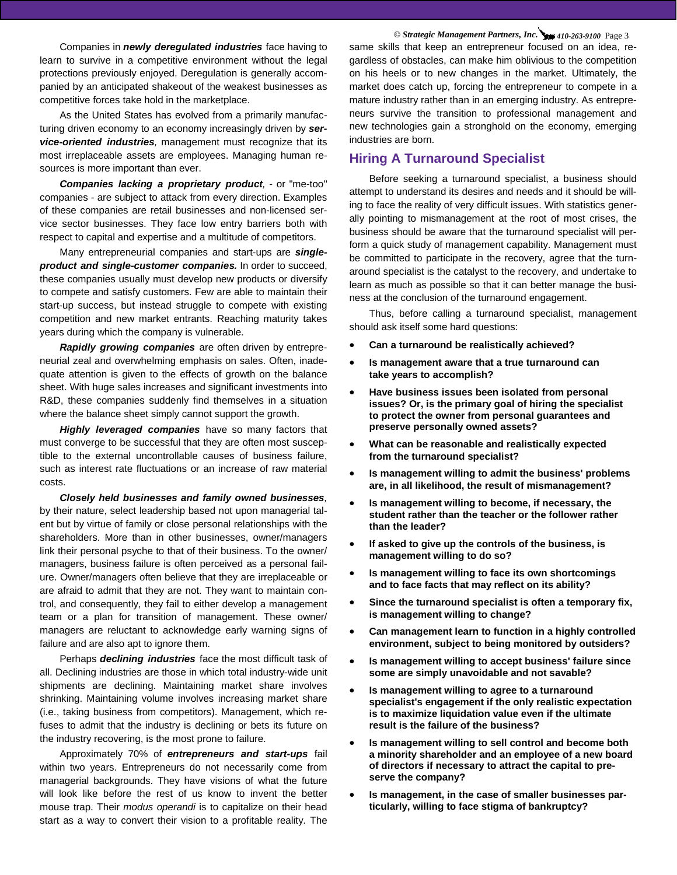Companies in *newly deregulated industries* face having to learn to survive in a competitive environment without the legal protections previously enjoyed. Deregulation is generally accompanied by an anticipated shakeout of the weakest businesses as competitive forces take hold in the marketplace.

As the United States has evolved from a primarily manufacturing driven economy to an economy increasingly driven by *service-oriented industries,* management must recognize that its most irreplaceable assets are employees. Managing human resources is more important than ever.

*Companies lacking a proprietary product,* - or "me-too" companies - are subject to attack from every direction. Examples of these companies are retail businesses and non-licensed service sector businesses. They face low entry barriers both with respect to capital and expertise and a multitude of competitors.

Many entrepreneurial companies and start-ups are *singleproduct and single-customer companies.* In order to succeed, these companies usually must develop new products or diversify to compete and satisfy customers. Few are able to maintain their start-up success, but instead struggle to compete with existing competition and new market entrants. Reaching maturity takes years during which the company is vulnerable.

*Rapidly growing companies* are often driven by entrepreneurial zeal and overwhelming emphasis on sales. Often, inadequate attention is given to the effects of growth on the balance sheet. With huge sales increases and significant investments into R&D, these companies suddenly find themselves in a situation where the balance sheet simply cannot support the growth.

*Highly leveraged companies* have so many factors that must converge to be successful that they are often most susceptible to the external uncontrollable causes of business failure, such as interest rate fluctuations or an increase of raw material costs.

*Closely held businesses and family owned businesses,* by their nature, select leadership based not upon managerial talent but by virtue of family or close personal relationships with the shareholders. More than in other businesses, owner/managers link their personal psyche to that of their business. To the owner/ managers, business failure is often perceived as a personal failure. Owner/managers often believe that they are irreplaceable or are afraid to admit that they are not. They want to maintain control, and consequently, they fail to either develop a management team or a plan for transition of management. These owner/ managers are reluctant to acknowledge early warning signs of failure and are also apt to ignore them.

Perhaps *declining industries* face the most difficult task of all. Declining industries are those in which total industry-wide unit shipments are declining. Maintaining market share involves shrinking. Maintaining volume involves increasing market share (i.e., taking business from competitors). Management, which refuses to admit that the industry is declining or bets its future on the industry recovering, is the most prone to failure.

Approximately 70% of *entrepreneurs and start-ups* fail within two years. Entrepreneurs do not necessarily come from managerial backgrounds. They have visions of what the future will look like before the rest of us know to invent the better mouse trap. Their *modus operandi* is to capitalize on their head start as a way to convert their vision to a profitable reality. The

*© Strategic Management Partners, Inc. 410-263-9100* Page 3 same skills that keep an entrepreneur focused on an idea, regardless of obstacles, can make him oblivious to the competition on his heels or to new changes in the market. Ultimately, the market does catch up, forcing the entrepreneur to compete in a mature industry rather than in an emerging industry. As entrepreneurs survive the transition to professional management and new technologies gain a stronghold on the economy, emerging industries are born.

# **Hiring A Turnaround Specialist**

Before seeking a turnaround specialist, a business should attempt to understand its desires and needs and it should be willing to face the reality of very difficult issues. With statistics generally pointing to mismanagement at the root of most crises, the business should be aware that the turnaround specialist will perform a quick study of management capability. Management must be committed to participate in the recovery, agree that the turnaround specialist is the catalyst to the recovery, and undertake to learn as much as possible so that it can better manage the business at the conclusion of the turnaround engagement.

Thus, before calling a turnaround specialist, management should ask itself some hard questions:

- **Can a turnaround be realistically achieved?**
- **Is management aware that a true turnaround can take years to accomplish?**
- **Have business issues been isolated from personal issues? Or, is the primary goal of hiring the specialist to protect the owner from personal guarantees and preserve personally owned assets?**
- **What can be reasonable and realistically expected from the turnaround specialist?**
- **Is management willing to admit the business' problems are, in all likelihood, the result of mismanagement?**
- **Is management willing to become, if necessary, the student rather than the teacher or the follower rather than the leader?**
- **If asked to give up the controls of the business, is management willing to do so?**
- **Is management willing to face its own shortcomings and to face facts that may reflect on its ability?**
- **Since the turnaround specialist is often a temporary fix, is management willing to change?**
- **Can management learn to function in a highly controlled environment, subject to being monitored by outsiders?**
- **Is management willing to accept business' failure since some are simply unavoidable and not savable?**
- **Is management willing to agree to a turnaround specialist's engagement if the only realistic expectation is to maximize liquidation value even if the ultimate result is the failure of the business?**
- **Is management willing to sell control and become both a minority shareholder and an employee of a new board of directors if necessary to attract the capital to preserve the company?**
- **Is management, in the case of smaller businesses particularly, willing to face stigma of bankruptcy?**